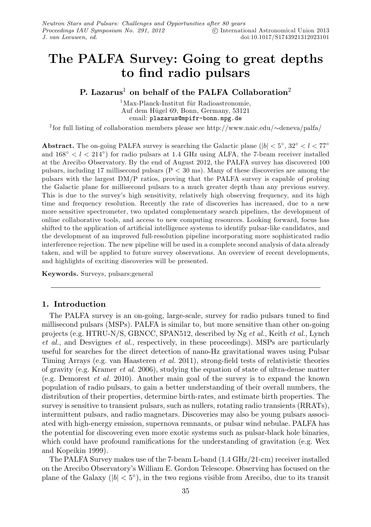# **The PALFA Survey: Going to great depths to find radio pulsars**

**P.** Lazarus<sup>1</sup> on behalf of the PALFA Collaboration<sup>2</sup>

 $1$ Max-Planck-Institut für Radioastronomie, Auf dem Hügel 69, Bonn, Germany, 53121 email: plazarus@mpifr-bonn.mpg.de

<sup>2</sup> for full listing of collaboration members please see http://www.naic.edu/∼deneva/palfa/

**Abstract.** The on-going PALFA survey is searching the Galactic plane ( $|b| < 5°$ ,  $32° < l < 77°$ and  $168° < l < 214°$  for radio pulsars at 1.4 GHz using ALFA, the 7-beam receiver installed at the Arecibo Observatory. By the end of August 2012, the PALFA survey has discovered 100 pulsars, including 17 millisecond pulsars (P < 30 ms). Many of these discoveries are among the pulsars with the largest DM/P ratios, proving that the PALFA survey is capable of probing the Galactic plane for millisecond pulsars to a much greater depth than any previous survey. This is due to the survey's high sensitivity, relatively high observing frequency, and its high time and frequency resolution. Recently the rate of discoveries has increased, due to a new more sensitive spectrometer, two updated complementary search pipelines, the development of online collaborative tools, and access to new computing resources. Looking forward, focus has shifted to the application of artificial intelligence systems to identify pulsar-like candidates, and the development of an improved full-resolution pipeline incorporating more sophisticated radio interference rejection. The new pipeline will be used in a complete second analysis of data already taken, and will be applied to future survey observations. An overview of recent developments, and highlights of exciting discoveries will be presented.

**Keywords.** Surveys, pulsars:general

# **1. Introduction**

The PALFA survey is an on-going, large-scale, survey for radio pulsars tuned to find millisecond pulsars (MSPs). PALFA is similar to, but more sensitive than other on-going projects (e.g. HTRU-N/S, GBNCC, SPAN512, described by Ng et al., Keith et al., Lynch et al., and Desvignes et al., respectively, in these proceedings). MSPs are particularly useful for searches for the direct detection of nano-Hz gravitational waves using Pulsar Timing Arrays (e.g. van Haasteren et al. 2011), strong-field tests of relativistic theories of gravity (e.g. Kramer *et al.* 2006), studying the equation of state of ultra-dense matter (e.g. Demorest et al. 2010). Another main goal of the survey is to expand the known population of radio pulsars, to gain a better understanding of their overall numbers, the distribution of their properties, determine birth-rates, and estimate birth properties. The survey is sensitive to transient pulsars, such as nullers, rotating radio transients (RRATs), intermittent pulsars, and radio magnetars. Discoveries may also be young pulsars associated with high-energy emission, supernova remnants, or pulsar wind nebulae. PALFA has the potential for discovering even more exotic systems such as pulsar-black hole binaries, which could have profound ramifications for the understanding of gravitation (e.g. Wex and Kopeikin 1999).

The PALFA Survey makes use of the 7-beam L-band (1.4 GHz/21-cm) receiver installed on the Arecibo Observatory's William E. Gordon Telescope. Observing has focused on the plane of the Galaxy ( $|b| < 5°$ ), in the two regions visible from Arecibo, due to its transit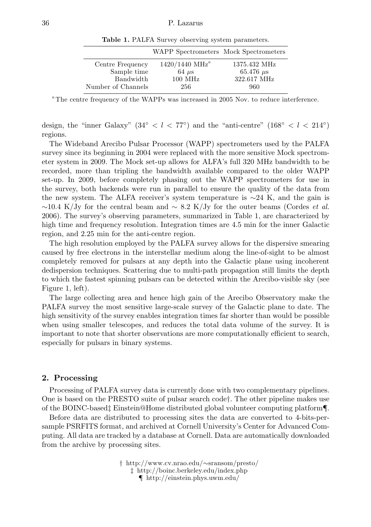|                          | WAPP Spectrometers Mock Spectrometers |                                 |
|--------------------------|---------------------------------------|---------------------------------|
| Centre Frequency         | $1420/1440 \text{ MHz}^a$             | 1375.432 MHz                    |
| Sample time<br>Bandwidth | 64 $\mu$ s<br>$100$ MHz               | $65.476 \,\mu s$<br>322.617 MHz |
| Number of Channels       | 256                                   | 960                             |

**Table 1.** PALFA Survey observing system parameters.

<sup>a</sup> The centre frequency of the WAPPs was increased in 2005 Nov. to reduce interference.

design, the "inner Galaxy" (34° <  $l < 77°$ ) and the "anti-centre" (168° <  $l < 214°$ ) regions.

The Wideband Arecibo Pulsar Processor (WAPP) spectrometers used by the PALFA survey since its beginning in 2004 were replaced with the more sensitive Mock spectrometer system in 2009. The Mock set-up allows for ALFA's full 320 MHz bandwidth to be recorded, more than tripling the bandwidth available compared to the older WAPP set-up. In 2009, before completely phasing out the WAPP spectrometers for use in the survey, both backends were run in parallel to ensure the quality of the data from the new system. The ALFA receiver's system temperature is  $\sim$ 24 K, and the gain is  $\sim$ 10.4 K/Jy for the central beam and  $\sim$  8.2 K/Jy for the outer beams (Cordes *et al.*) 2006). The survey's observing parameters, summarized in Table 1, are characterized by high time and frequency resolution. Integration times are 4.5 min for the inner Galactic region, and 2.25 min for the anti-centre region.

The high resolution employed by the PALFA survey allows for the dispersive smearing caused by free electrons in the interstellar medium along the line-of-sight to be almost completely removed for pulsars at any depth into the Galactic plane using incoherent dedispersion techniques. Scattering due to multi-path propagation still limits the depth to which the fastest spinning pulsars can be detected within the Arecibo-visible sky (see Figure 1, left).

The large collecting area and hence high gain of the Arecibo Observatory make the PALFA survey the most sensitive large-scale survey of the Galactic plane to date. The high sensitivity of the survey enables integration times far shorter than would be possible when using smaller telescopes, and reduces the total data volume of the survey. It is important to note that shorter observations are more computationally efficient to search, especially for pulsars in binary systems.

## **2. Processing**

Processing of PALFA survey data is currently done with two complementary pipelines. One is based on the PRESTO suite of pulsar search code†. The other pipeline makes use of the BOINC-based‡ Einstein@Home distributed global volunteer computing platform¶.

Before data are distributed to processing sites the data are converted to 4-bits-persample PSRFITS format, and archived at Cornell University's Center for Advanced Computing. All data are tracked by a database at Cornell. Data are automatically downloaded from the archive by processing sites.

> † http://www.cv.nrao.edu/∼sransom/presto/ ‡ http://boinc.berkeley.edu/index.php ¶ http://einstein.phys.uwm.edu/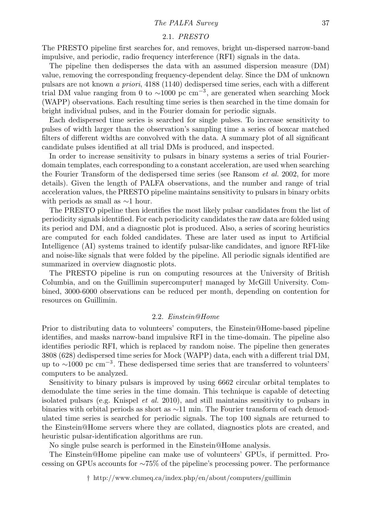## 2.1. PRESTO

The PRESTO pipeline first searches for, and removes, bright un-dispersed narrow-band impulsive, and periodic, radio frequency interference (RFI) signals in the data.

The pipeline then dedisperses the data with an assumed dispersion measure (DM) value, removing the corresponding frequency-dependent delay. Since the DM of unknown pulsars are not known a priori, 4188 (1140) dedispersed time series, each with a different trial DM value ranging from 0 to  $\sim$ 1000 pc cm<sup>-3</sup>, are generated when searching Mock (WAPP) observations. Each resulting time series is then searched in the time domain for bright individual pulses, and in the Fourier domain for periodic signals.

Each dedispersed time series is searched for single pulses. To increase sensitivity to pulses of width larger than the observation's sampling time a series of boxcar matched filters of different widths are convolved with the data. A summary plot of all significant candidate pulses identified at all trial DMs is produced, and inspected.

In order to increase sensitivity to pulsars in binary systems a series of trial Fourierdomain templates, each corresponding to a constant acceleration, are used when searching the Fourier Transform of the dedispersed time series (see Ransom *et al.* 2002, for more details). Given the length of PALFA observations, and the number and range of trial acceleration values, the PRESTO pipeline maintains sensitivity to pulsars in binary orbits with periods as small as ∼1 hour.

The PRESTO pipeline then identifies the most likely pulsar candidates from the list of periodicity signals identified. For each periodicity candidates the raw data are folded using its period and DM, and a diagnostic plot is produced. Also, a series of scoring heuristics are computed for each folded candidates. These are later used as input to Artificial Intelligence (AI) systems trained to identify pulsar-like candidates, and ignore RFI-like and noise-like signals that were folded by the pipeline. All periodic signals identified are summarized in overview diagnostic plots.

The PRESTO pipeline is run on computing resources at the University of British Columbia, and on the Guillimin supercomputer† managed by McGill University. Combined, 3000-6000 observations can be reduced per month, depending on contention for resources on Guillimin.

#### 2.2. Einstein@Home

Prior to distributing data to volunteers' computers, the Einstein@Home-based pipeline identifies, and masks narrow-band impulsive RFI in the time-domain. The pipeline also identifies periodic RFI, which is replaced by random noise. The pipeline then generates 3808 (628) dedispersed time series for Mock (WAPP) data, each with a different trial DM, up to  $\sim$ 1000 pc cm<sup>−3</sup>. These dedispersed time series that are transferred to volunteers' computers to be analyzed.

Sensitivity to binary pulsars is improved by using 6662 circular orbital templates to demodulate the time series in the time domain. This technique is capable of detecting isolated pulsars (e.g. Knispel et al. 2010), and still maintains sensitivity to pulsars in binaries with orbital periods as short as ∼11 min. The Fourier transform of each demodulated time series is searched for periodic signals. The top 100 signals are returned to the Einstein@Home servers where they are collated, diagnostics plots are created, and heuristic pulsar-identification algorithms are run.

No single pulse search is performed in the Einstein@Home analysis.

The Einstein@Home pipeline can make use of volunteers' GPUs, if permitted. Processing on GPUs accounts for ∼75% of the pipeline's processing power. The performance

† http://www.clumeq.ca/index.php/en/about/computers/guillimin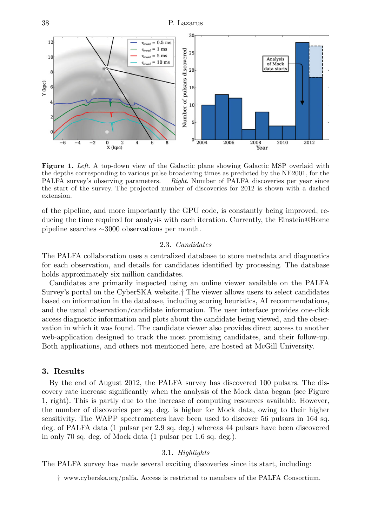

**Figure 1.** Left. A top-down view of the Galactic plane showing Galactic MSP overlaid with the depths corresponding to various pulse broadening times as predicted by the NE2001, for the PALFA survey's observing parameters. Right. Number of PALFA discoveries per year since the start of the survey. The projected number of discoveries for 2012 is shown with a dashed extension.

of the pipeline, and more importantly the GPU code, is constantly being improved, reducing the time required for analysis with each iteration. Currently, the Einstein@Home pipeline searches ∼3000 observations per month.

### 2.3. Candidates

The PALFA collaboration uses a centralized database to store metadata and diagnostics for each observation, and details for candidates identified by processing. The database holds approximately six million candidates.

Candidates are primarily inspected using an online viewer available on the PALFA Survey's portal on the CyberSKA website.† The viewer allows users to select candidates based on information in the database, including scoring heuristics, AI recommendations, and the usual observation/candidate information. The user interface provides one-click access diagnostic information and plots about the candidate being viewed, and the observation in which it was found. The candidate viewer also provides direct access to another web-application designed to track the most promising candidates, and their follow-up. Both applications, and others not mentioned here, are hosted at McGill University.

## **3. Results**

By the end of August 2012, the PALFA survey has discovered 100 pulsars. The discovery rate increase significantly when the analysis of the Mock data began (see Figure 1, right). This is partly due to the increase of computing resources available. However, the number of discoveries per sq. deg. is higher for Mock data, owing to their higher sensitivity. The WAPP spectrometers have been used to discover 56 pulsars in 164 sq. deg. of PALFA data (1 pulsar per 2.9 sq. deg.) whereas 44 pulsars have been discovered in only 70 sq. deg. of Mock data (1 pulsar per 1.6 sq. deg.).

## 3.1. Highlights

The PALFA survey has made several exciting discoveries since its start, including:

† www.cyberska.org/palfa. Access is restricted to members of the PALFA Consortium.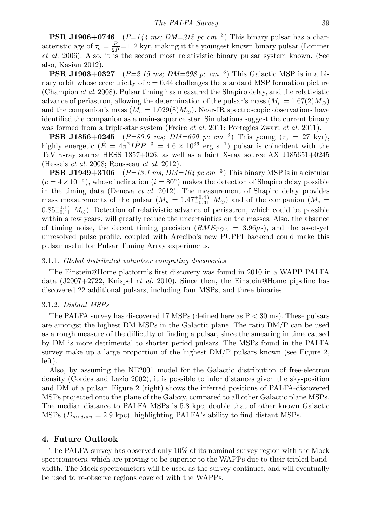**PSR J1906+0746** ( $P=144$  ms; DM=212 pc cm<sup>-3</sup>) This binary pulsar has a characteristic age of  $\tau_c = \frac{P}{2P} = 112$  kyr, making it the youngest known binary pulsar (Lorimer et al. 2006). Also, it is the second most relativistic binary pulsar system known. (See also, Kasian 2012).

**PSR J1903+0327** ( $P = 2.15$  ms; DM=298 pc cm<sup>-3</sup>) This Galactic MSP is in a binary orbit whose eccentricity of  $e = 0.44$  challenges the standard MSP formation picture (Champion  $et al. 2008$ ). Pulsar timing has measured the Shapiro delay, and the relativistic advance of periastron, allowing the determination of the pulsar's mass  $(M_p = 1.67(2)M_{\odot})$ and the companion's mass  $(M_c = 1.029(8)M_\odot)$ . Near-IR spectroscopic observations have identified the companion as a main-sequence star. Simulations suggest the current binary was formed from a triple-star system (Freire *et al.* 2011; Portegies Zwart *et al.* 2011).

**PSR J1856+0245** (P=80.9 ms; DM=650 pc cm<sup>-3</sup>) This young ( $\tau_c = 27$  kyr), highly energetic  $(E = 4\pi^2 IPP^{-3} = 4.6 \times 10^{36}$  erg s<sup>-1</sup>) pulsar is coincident with the TeV  $\gamma$ -ray source HESS 1857+026, as well as a faint X-ray source AX J185651+0245 (Hessels et al. 2008; Rousseau et al. 2012).

**PSR J1949+3106**  $(P=13.1 \text{ ms}; DM=164 \text{ pc cm}^{-3})$  This binary MSP is in a circular  $(e = 4 \times 10^{-5})$ , whose inclination  $(i = 80^{\circ})$  makes the detection of Shapiro delay possible in the timing data (Deneva et al. 2012). The measurement of Shapiro delay provides mass measurements of the pulsar ( $M_p = 1.47^{+0.43}_{-0.31} M_{\odot}$ ) and of the companion ( $M_c =$  $0.85^{+0.14}_{-0.11}$   $M_{\odot}$ ). Detection of relativistic advance of periastron, which could be possible within a few years, will greatly reduce the uncertainties on the masses. Also, the absence of timing noise, the decent timing precision  $(RMS_{TOA} = 3.96 \mu s)$ , and the as-of-yet unresolved pulse profile, coupled with Arecibo's new PUPPI backend could make this pulsar useful for Pulsar Timing Array experiments.

## 3.1.1. Global distributed volunteer computing discoveries

The Einstein@Home platform's first discovery was found in 2010 in a WAPP PALFA data (J2007+2722, Knispel *et al.* 2010). Since then, the Einstein<sup>@</sup>Home pipeline has discovered 22 additional pulsars, including four MSPs, and three binaries.

#### 3.1.2. Distant MSPs

The PALFA survey has discovered 17 MSPs (defined here as P < 30 ms). These pulsars are amongst the highest DM MSPs in the Galactic plane. The ratio DM/P can be used as a rough measure of the difficulty of finding a pulsar, since the smearing in time caused by DM is more detrimental to shorter period pulsars. The MSPs found in the PALFA survey make up a large proportion of the highest  $DM/P$  pulsars known (see Figure 2, left).

Also, by assuming the NE2001 model for the Galactic distribution of free-electron density (Cordes and Lazio 2002), it is possible to infer distances given the sky-position and DM of a pulsar. Figure 2 (right) shows the inferred positions of PALFA-discovered MSPs projected onto the plane of the Galaxy, compared to all other Galactic plane MSPs. The median distance to PALFA MSPs is 5.8 kpc, double that of other known Galactic MSPs  $(D_{median} = 2.9 \text{ kpc})$ , highlighting PALFA's ability to find distant MSPs.

#### **4. Future Outlook**

The PALFA survey has observed only 10% of its nominal survey region with the Mock spectrometers, which are proving to be superior to the WAPPs due to their tripled bandwidth. The Mock spectrometers will be used as the survey continues, and will eventually be used to re-observe regions covered with the WAPPs.